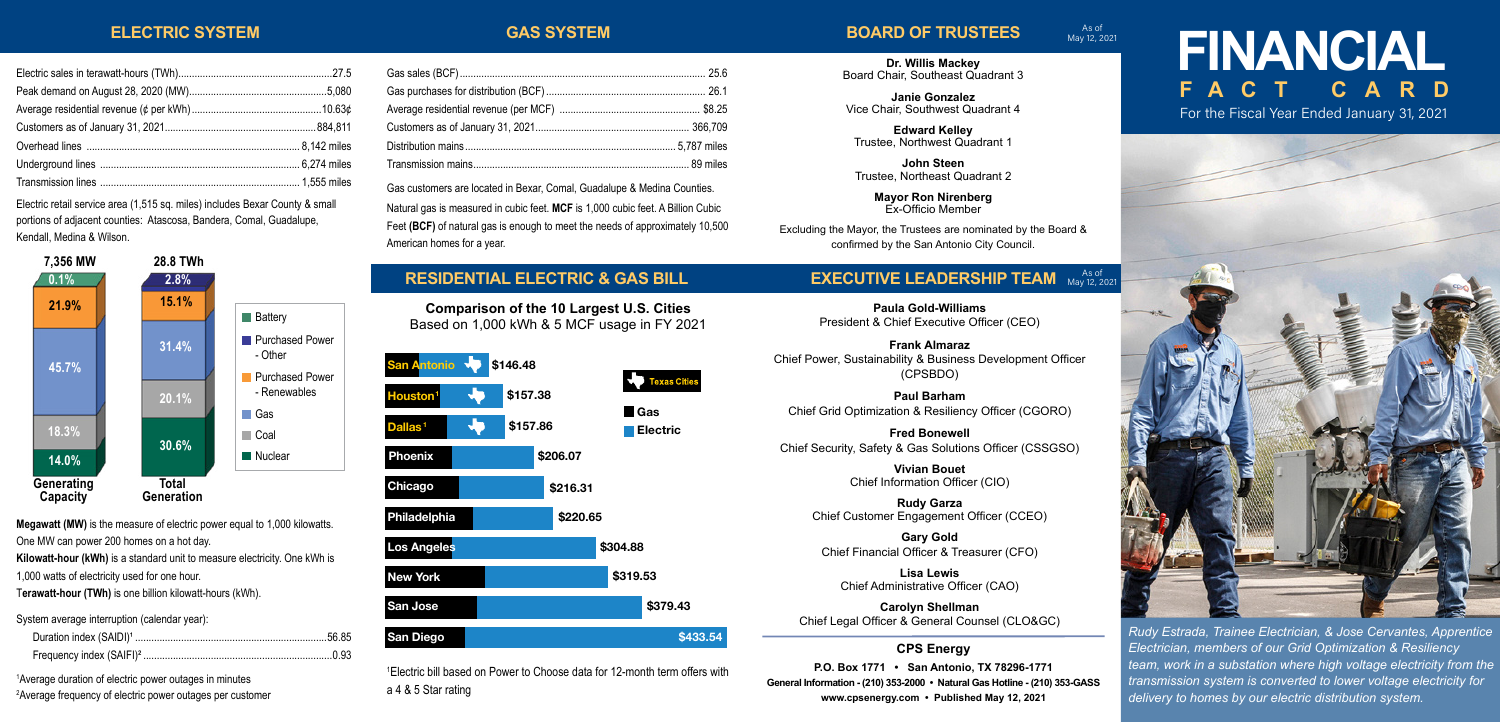#### **ELECTRIC SYSTEM**

Electric sales in terawatt-hours (TWh).........................................................27.5 Peak demand on August 28, 2020 (MW)...................................................5,080 Average residential revenue (¢ per kWh)................................................10.63¢ Customers as of January 31, 2021........................................................884,811 Overhead lines ............................................................................... 8,142 miles Underground lines .......................................................................... 6,274 miles Transmission lines .......................................................................... 1,555 miles Electric retail service area (1,515 sq. miles) includes Bexar County & small portions of adjacent counties: Atascosa, Bandera, Comal, Guadalupe,

**28.8 TWh**

**2.8%**

| <b>GAS SYSTER</b> |  |  |
|-------------------|--|--|
|                   |  |  |

### **BOARD OF TRUSTEES**

As of May 12, 2021

**Dr. Willis Mackey** Board Chair, Southeast Quadrant 3

**Janie Gonzalez** Vice Chair, Southwest Quadrant 4

**Edward Kelley** Trustee, Northwest Quadrant 1

**John Steen** Trustee, Northeast Quadrant 2

> **Mayor Ron Nirenberg** Ex-Officio Member

Excluding the Mayor, the Trustees are nominated by the Board & confirmed by the San Antonio City Council.

#### **EXECUTIVE LEADERSHIP TEAM** As of As of

**Paula Gold-Williams** President & Chief Executive Officer (CEO)

**Frank Almaraz** Chief Power, Sustainability & Business Development Officer (CPSBDO)

**Paul Barham** Chief Grid Optimization & Resiliency Officer (CGORO)

**Fred Bonewell** Chief Security, Safety & Gas Solutions Officer (CSSGSO)

> **Vivian Bouet** Chief Information Officer (CIO)

**Rudy Garza** Chief Customer Engagement Officer (CCEO)

**Gary Gold** Chief Financial Officer & Treasurer (CFO)

**Lisa Lewis** Chief Administrative Officer (CAO)

**Carolyn Shellman** Chief Legal Officer & General Counsel (CLO&GC)

**CPS Energy**

**P.O. Box 1771 • San Antonio, TX 78296-1771 General Information - (210) 353-2000 • Natural Gas Hotline - (210) 353-GASS www.cpsenergy.com • Published May 12, 2021**

# **FINANCIAL FACT**

For the Fiscal Year Ended January 31, 2021



*Rudy Estrada, Trainee Electrician, & Jose Cervantes, Apprentice Electrician, members of our Grid Optimization & Resiliency team, work in a substation where high voltage electricity from the transmission system is converted to lower voltage electricity for delivery to homes by our electric distribution system.*

| <b>RESIDENTIAL ELECTRIC &amp;</b> |
|-----------------------------------|

Based on 1,000 kWh & 5 MCF usage in FY 2021

| <b>San Antonio</b>   | \$146.48 |          |          |                            |
|----------------------|----------|----------|----------|----------------------------|
| Houston <sup>1</sup> | \$157.38 |          |          | <b>Texas Cities</b><br>Gas |
| Dallas <sup>1</sup>  | \$157.86 |          |          | Electric                   |
| Phoenix              |          | \$206.07 |          |                            |
| Chicago              |          | \$216.31 |          |                            |
| Philadelphia         |          | \$220.65 |          |                            |
| <b>Los Angeles</b>   |          |          | \$304.88 |                            |
| <b>New York</b>      |          |          | \$319.53 |                            |
| San Jose             |          |          |          | \$379.43                   |
| San Diego            |          |          |          | \$433.54                   |
|                      |          |          |          |                            |

1 Electric bill based on Power to Choose data for 12-month term offers with a 4 & 5 Star rating

#### **Generating Capacity Total Generation 45.7% 18.3% 14.0% 31.4% 20.1% 30.6% 21.9% 15.1% Battery Purchased Power** - Other **Purchased Power** - Renewables **Cas** Coal **Nuclear**

**Megawatt (MW)** is the measure of electric power equal to 1,000 kilowatts.

One MW can power 200 homes on a hot day.

Kendall, Medina & Wilson.

**7,356 MW**

**0.1%**

**Kilowatt-hour (kWh)** is a standard unit to measure electricity. One kWh is

1,000 watts of electricity used for one hour.

T**erawatt-hour (TWh)** is one billion kilowatt-hours (kWh).

System average interruption (calendar year):

1 Average duration of electric power outages in minutes 2 Average frequency of electric power outages per customer

#### Gas sales (BCF)........................................................................................... 25.6 Gas purchases for distribution (BCF) ........................................................... 26.1

| Gas customers are located in Bexar, Comal, Guadalupe & Medina Counties. |  |
|-------------------------------------------------------------------------|--|

Natural gas is measured in cubic feet. **MCF** is 1,000 cubic feet. A Billion Cubic Feet **(BCF)** of natural gas is enough to meet the needs of approximately 10,500 American homes for a year.

## **GAS BILL**

**Comparison of the 10 Largest U.S. Cities**

| <b>San Antonio</b>   | ÷. | \$146.48 |          |          |                       |
|----------------------|----|----------|----------|----------|-----------------------|
| Houston <sup>1</sup> | w  | \$157.38 |          |          | <b>Texas C</b><br>Gas |
| Dallas <sup>1</sup>  | 5  | \$157.86 |          |          | Electric              |
| Phoenix              |    |          | \$206.07 |          |                       |
| Chicago              |    |          | \$216.31 |          |                       |
| Philadelphia         |    |          | \$220.65 |          |                       |
| <b>Los Angeles</b>   |    |          |          | \$304.88 |                       |
| <b>New York</b>      |    |          |          | \$319.53 |                       |
| San Jose             |    |          |          |          | \$379.4               |
| San Diego            |    |          |          |          | ļ                     |